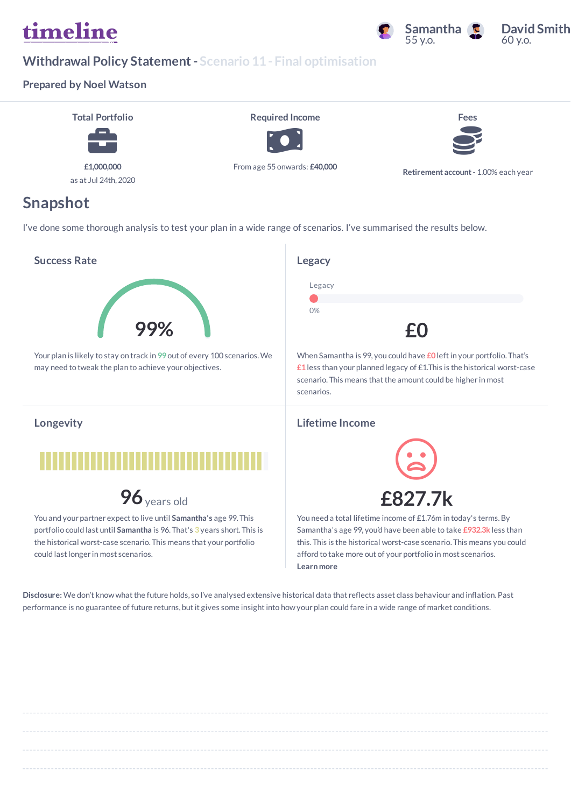# timeline



#### **David Smith**  $60$  y o.

### **Withdrawal Policy Statement- Scenario 11- Final optimisation**

#### **Prepared by Noel Watson**



### **Snapshot**

I've done some thorough analysis to test your plan in a wide range of scenarios. I've summarised the results below.

#### **Success Rate**



Your plan is likely to stay on track in **99** out of every 100 scenarios.We may need to tweak the plan to achieve your objectives.

#### **Longevity**



**96**years old

You and your partner expect to live until Samantha's age 99. This portfolio could last until **Samantha** is 96. That's **3** years short. This is the historical worst-case scenario. This means that your portfolio could last longer in most scenarios.



When Samantha is 99, you could have **£0** leftin your portfolio. That's **£1** less than your planned legacy of £1.This is the historical worst-case scenario. This means that the amount could be higher in most scenarios.

#### **Lifetime Income**



You need a total lifetime income of £1.76m in today's terms.By Samantha's age 99, you'd have been able to take **£932.3k** less than this. This is the historical worst-case scenario. This means you could afford to take more out of your portfolio in most scenarios. **Learn more**

Disclosure: We don't know what the future holds, so I've analysed extensive historical data that reflects asset class behaviour and inflation. Past performance is no guarantee of future returns, but it gives some insight into how your plan could fare in a wide range of market conditions.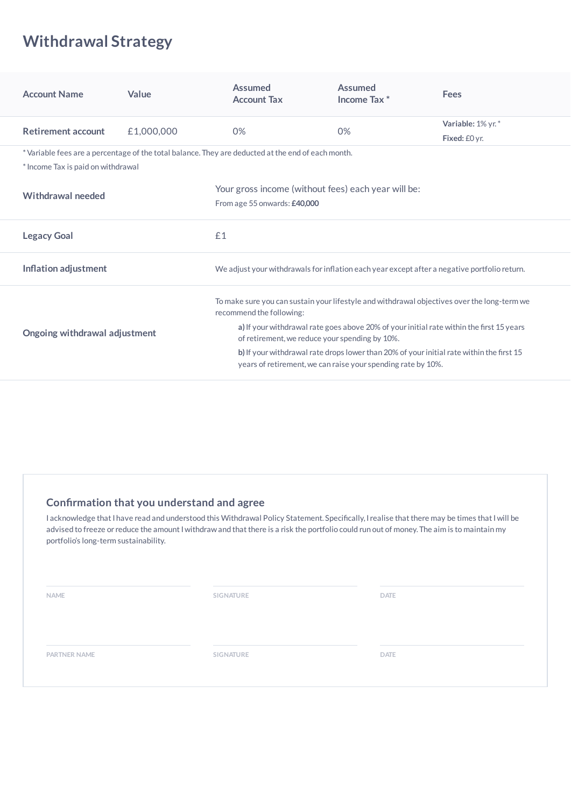# **Withdrawal Strategy**

| <b>Account Name</b>                | Value      | <b>Assumed</b><br><b>Account Tax</b>                                                                                                                     | <b>Assumed</b><br>Income Tax <sup>*</sup> | <b>Fees</b>       |  |  |  |
|------------------------------------|------------|----------------------------------------------------------------------------------------------------------------------------------------------------------|-------------------------------------------|-------------------|--|--|--|
| <b>Retirement account</b>          | £1,000,000 | 0%                                                                                                                                                       | 0%                                        | Variable: 1% yr.* |  |  |  |
|                                    |            |                                                                                                                                                          |                                           | Fixed: £0 yr.     |  |  |  |
| * Income Tax is paid on withdrawal |            | *Variable fees are a percentage of the total balance. They are deducted at the end of each month.                                                        |                                           |                   |  |  |  |
| Withdrawal needed                  |            | Your gross income (without fees) each year will be:<br>From age 55 onwards: £40,000                                                                      |                                           |                   |  |  |  |
| <b>Legacy Goal</b>                 |            | £1                                                                                                                                                       |                                           |                   |  |  |  |
| Inflation adjustment               |            | We adjust your withdrawals for inflation each year except after a negative portfolio return.                                                             |                                           |                   |  |  |  |
|                                    |            | To make sure you can sustain your lifestyle and withdrawal objectives over the long-term we<br>recommend the following:                                  |                                           |                   |  |  |  |
| Ongoing withdrawal adjustment      |            | a) If your withdrawal rate goes above 20% of your initial rate within the first 15 years<br>of retirement, we reduce your spending by 10%.               |                                           |                   |  |  |  |
|                                    |            | b) If your withdrawal rate drops lower than 20% of your initial rate within the first 15<br>years of retirement, we can raise your spending rate by 10%. |                                           |                   |  |  |  |

#### **Conrmation that you understand and agree**

I acknowledge that I have read and understood this Withdrawal Policy Statement. Specifically, I realise that there may be times that I will be advised to freeze or reduce the amount I withdraw and that there is a risk the portfolio could run out of money. The aim is to maintain my portfolio's long-term sustainability.

**NAME SIGNATURE DATE**

**PARTNER NAME SIGNATURE DATE**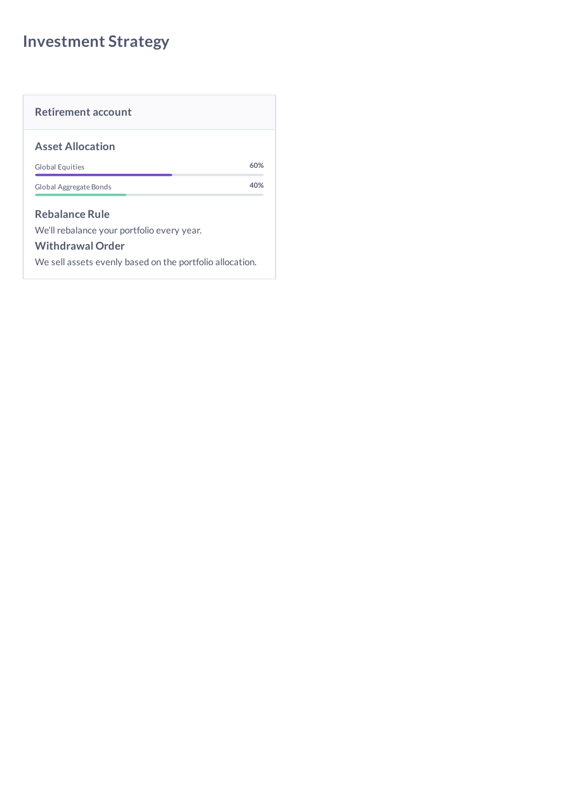# **Investment Strategy**

| 60% |
|-----|
| 40% |
|     |

We sell assets evenly based on the portfolio allocation.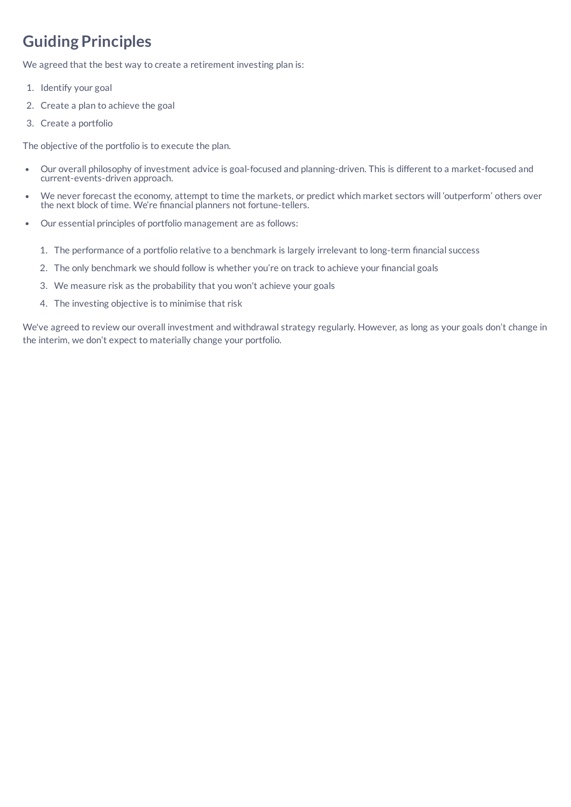# **Guiding Principles**

We agreed that the best way to create a retirement investing plan is:

- 1. Identify your goal
- 2. Create a plan to achieve the goal
- 3. Create a portfolio

The objective of the portfolio is to execute the plan.

- Our overall philosophy of investment advice is goal-focused and planning-driven. This is different to a market-focused and  $\bullet$ current-events-driven approach.
- We never forecast the economy, attempt to time the markets, or predict which market sectors will 'outperform' others over the next block of time. We're nancial planners not fortune-tellers.
- Our essential principles of portfolio management are as follows:
	- 1. The performance of a portfolio relative to a benchmark is largely irrelevant to long-term financial success
	- 2. The only benchmark we should follow is whether you're on track to achieve your financial goals
	- 3. We measure risk as the probability that you won't achieve your goals
	- 4. The investing objective is to minimise that risk

We've agreed to review our overall investment and withdrawal strategy regularly. However, as long as your goals don't change in the interim, we don't expect to materially change your portfolio.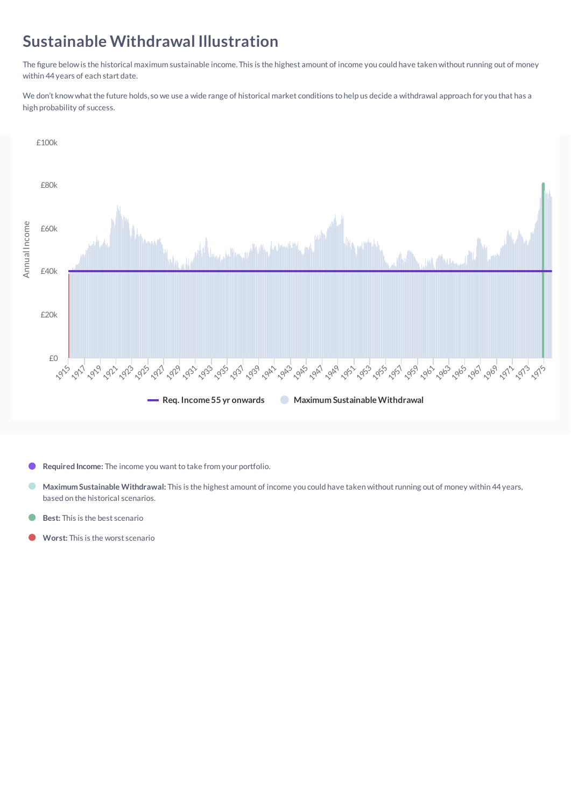### **Sustainable Withdrawal Illustration**

The figure below is the historical maximum sustainable income. This is the highest amount of income you could have taken without running out of money within 44 years of each start date.

We don't know what the future holds, so we use a wide range of historical market conditions to help us decide a withdrawal approach for you that has a high probability of success.



Required Income: The income you want to take from your portfolio.

- Ω **Maximum Sustainable Withdrawal:** This is the highest amount of income you could have taken without running out of money within 44 years, based on the historical scenarios.
- **Best:** This is the best scenario
- **Worst:** This is the worst scenario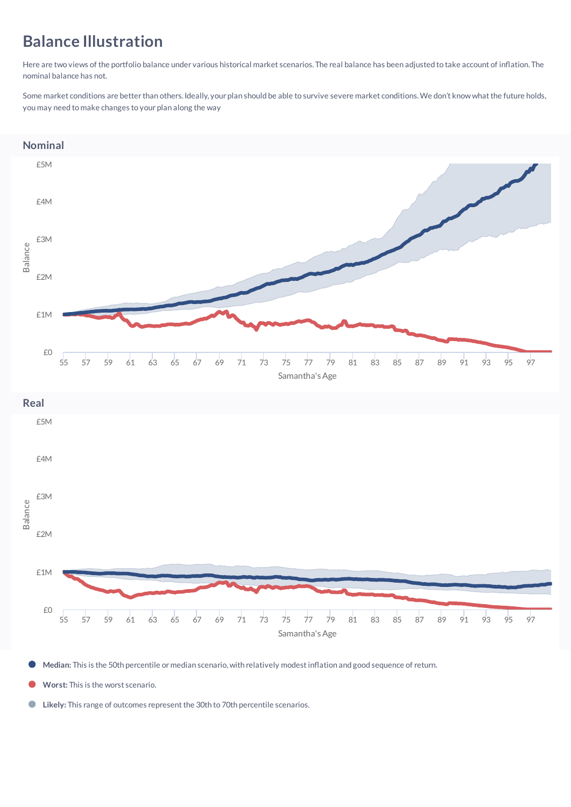# **Balance Illustration**

Here are two views of the portfolio balance under various historical market scenarios. The real balance has been adjusted to take account of inflation. The nominal balance has not.

Some market conditions are better than others. Ideally, your plan should be able to survive severe market conditions. We don't know what the future holds, you may need to make changes to your plan along the way



Median: This is the 50th percentile or median scenario, with relatively modest inflation and good sequence of return.

**Worst:** This is the worst scenario.

Likely: This range of outcomes represent the 30th to 70th percentile scenarios.  $\bigcirc$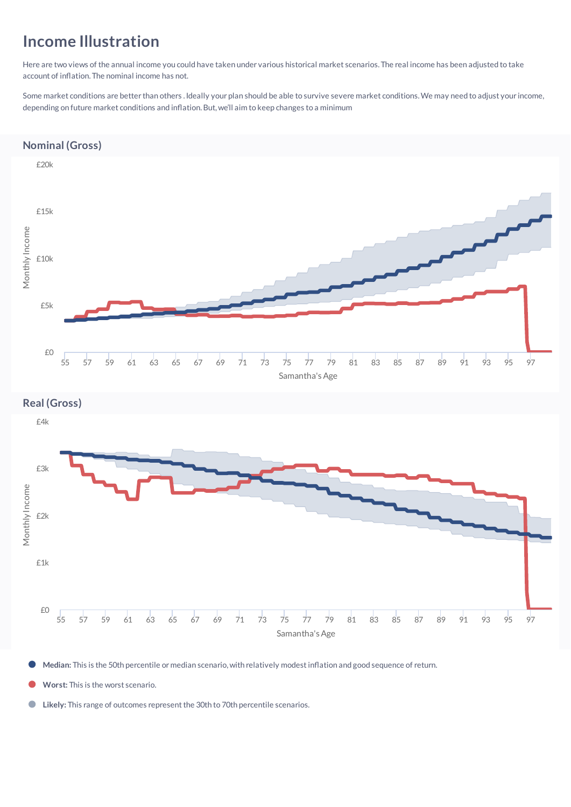### **Income Illustration**

Here are two views of the annual income you could have taken under various historical market scenarios. The real income has been adjusted to take account of inflation. The nominal income has not.

Some market conditions are better than others .Ideally your plan should be able to survive severe market conditions.We may need to adjust your income, depending on future market conditions and inflation. But, we'll aim to keep changes to a minimum

#### **Nominal (Gross)**



Median: This is the 50th percentile or median scenario, with relatively modest inflation and good sequence of return.

**Worst:** This is the worst scenario.

Likely: This range of outcomes represent the 30th to 70th percentile scenarios.  $\bigcirc$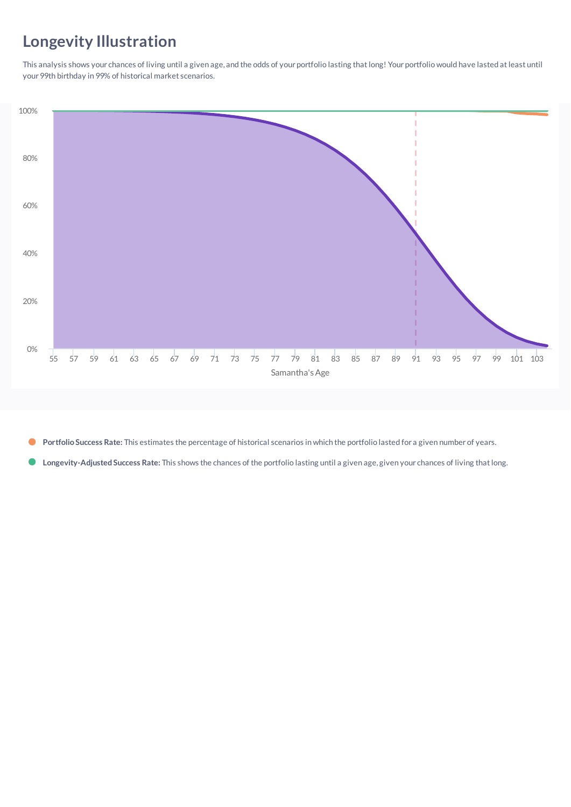# **Longevity Illustration**

This analysis shows your chances of living until a given age, and the odds of your portfolio lasting that long! Your portfolio would have lasted at least until your 99th birthday in 99% of historical market scenarios.



**Portfolio Success Rate:** This estimates the percentage of historical scenarios in which the portfolio lasted for a given number of years.  $\bullet$ 

**Longevity-Adjusted Success Rate:** This shows the chances of the portfolio lasting until a given age, given your chances of living thatlong.